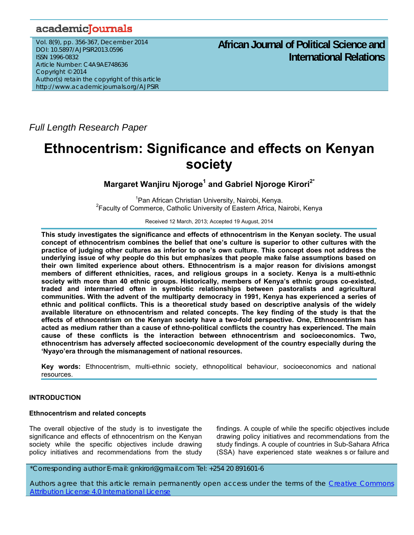# academicJournals

Vol. 8(9), pp. 356-367, December 2014 DOI: 10.5897/AJPSIR2013.0596 ISSN 1996-0832 Article Number: C4A9AE748636 Copyright © 2014 Author(s) retain the copyright of this article http://www.academicjournals.org/AJPSIR

# **African Journal of Political Science and International Relations**

*Full Length Research Paper*

# **Ethnocentrism: Significance and effects on Kenyan society**

**Margaret Wanjiru Njoroge1 and Gabriel Njoroge Kirori2\***

<sup>1</sup> Pan African Christian University, Nairobi, Kenya.<br><sup>2</sup> Faculty of Commerce, Catholia University of Footern Africa, Na <sup>2</sup> Faculty of Commerce, Catholic University of Eastern Africa, Nairobi, Kenya

Received 12 March, 2013; Accepted 19 August, 2014

**This study investigates the significance and effects of ethnocentrism in the Kenyan society. The usual concept of ethnocentrism combines the belief that one's culture is superior to other cultures with the practice of judging other cultures as inferior to one's own culture. This concept does not address the underlying issue of why people do this but emphasizes that people make false assumptions based on their own limited experience about others. Ethnocentrism is a major reason for divisions amongst members of different ethnicities, races, and religious groups in a society. Kenya is a multi-ethnic society with more than 40 ethnic groups. Historically, members of Kenya's ethnic groups co-existed, traded and intermarried often in symbiotic relationships between pastoralists and agricultural communities. With the advent of the multiparty democracy in 1991, Kenya has experienced a series of ethnic and political conflicts. This is a theoretical study based on descriptive analysis of the widely available literature on ethnocentrism and related concepts. The key finding of the study is that the effects of ethnocentrism on the Kenyan society have a two-fold perspective. One, Ethnocentrism has acted as medium rather than a cause of ethno-political conflicts the country has experienced. The main cause of these conflicts is the interaction between ethnocentrism and socioeconomics. Two, ethnocentrism has adversely affected socioeconomic development of the country especially during the 'Nyayo'era through the mismanagement of national resources.** 

**Key words:** Ethnocentrism, multi-ethnic society, ethnopolitical behaviour, socioeconomics and national resources.

# **INTRODUCTION**

# **Ethnocentrism and related concepts**

The overall objective of the study is to investigate the significance and effects of ethnocentrism on the Kenyan society while the specific objectives include drawing policy initiatives and recommendations from the study

findings. A couple of while the specific objectives include drawing policy initiatives and recommendations from the study findings. A couple of countries in Sub-Sahara Africa (SSA) have experienced state weaknes s or failure and

# \*Corresponding author E-mail: gnkirori@gmail.com Tel: +254 20 891601-6

Authors agree that this article remain permanently open access under the terms of the Creative Commons Attribution License 4.0 International License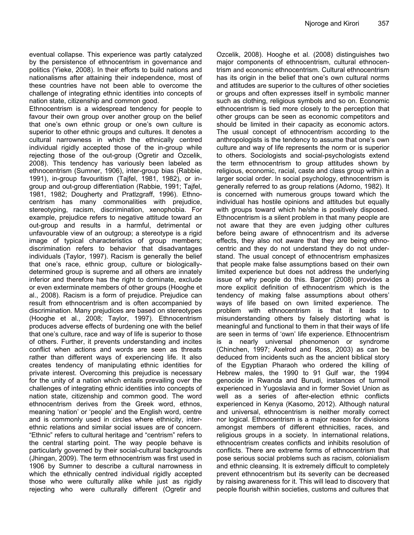eventual collapse. This experience was partly catalyzed by the persistence of ethnocentrism in governance and politics (Yieke, 2008). In their efforts to build nations and nationalisms after attaining their independence, most of these countries have not been able to overcome the challenge of integrating ethnic identities into concepts of nation state, citizenship and common good.

Ethnocentrism is a widespread tendency for people to favour their own group over another group on the belief that one's own ethnic group or one's own culture is superior to other ethnic groups and cultures. It denotes a cultural narrowness in which the ethnically centred individual rigidly accepted those of the in-group while rejecting those of the out-group (Ogretir and Ozcelik, 2008). This tendency has variously been labeled as ethnocentrism (Sumner, 1906), inter-group bias (Rabbie, 1991), in-group favouritism (Tajfel, 1981, 1982), or ingroup and out-group differentiation (Rabbie, 1991; Tajfel, 1981, 1982; Dougherty and Pratlzgraff, 1996). Ethnocentrism has many commonalities with prejudice, stereotyping, racism, discrimination, xenophobia. For example, prejudice refers to negative attitude toward an out-group and results in a harmful, detrimental or unfavourable view of an outgroup; a stereotype is a rigid image of typical characteristics of group members; discrimination refers to behavior that disadvantages individuals (Taylor, 1997). Racism is generally the belief that one's race, ethnic group, culture or biologicallydetermined group is supreme and all others are innately inferior and therefore has the right to dominate, exclude or even exterminate members of other groups (Hooghe et al., 2008). Racism is a form of prejudice. Prejudice can result from ethnocentrism and is often accompanied by discrimination. Many prejudices are based on stereotypes (Hooghe et al., 2008; Taylor, 1997). Ethnocentrism produces adverse effects of burdening one with the belief that one's culture, race and way of life is superior to those of others. Further, it prevents understanding and incites conflict when actions and words are seen as threats rather than different ways of experiencing life. It also creates tendency of manipulating ethnic identities for private interest. Overcoming this prejudice is necessary for the unity of a nation which entails prevailing over the challenges of integrating ethnic identities into concepts of nation state, citizenship and common good. The word ethnocentrism derives from the Greek word, ethnos, meaning 'nation' or 'people' and the English word, centre and is commonly used in circles where ethnicity, interethnic relations and similar social issues are of concern. "Ethnic" refers to cultural heritage and "centrism" refers to the central starting point. The way people behave is particularly governed by their social-cultural backgrounds (Jhingan, 2009). The term ethnocentrism was first used in 1906 by Sumner to describe a cultural narrowness in which the ethnically centred individual rigidly accepted those who were culturally alike while just as rigidly rejecting who were culturally different (Ogretir and

Ozcelik, 2008). Hooghe et al. (2008) distinguishes two major components of ethnocentrism, cultural ethnocentrism and economic ethnocentrism. Cultural ethnocentrism has its origin in the belief that one's own cultural norms and attitudes are superior to the cultures of other societies or groups and often expresses itself in symbolic manner such as clothing, religious symbols and so on. Economic ethnocentrism is tied more closely to the perception that other groups can be seen as economic competitors and should be limited in their capacity as economic actors. The usual concept of ethnocentrism according to the anthropologists is the tendency to assume that one's own culture and way of life represents the norm or is superior to others. Sociologists and social-psychologists extend the term ethnocentrism to group attitudes shown by religious, economic, racial, caste and class group within a larger social order. In social psychology, ethnocentrism is generally referred to as group relations (Adorno, 1982). It is concerned with numerous groups toward which the individual has hostile opinions and attitudes but equally with groups toward which he/she is positively disposed. Ethnocentrism is a silent problem in that many people are not aware that they are even judging other cultures before being aware of ethnocentrism and its adverse effects, they also not aware that they are being ethnocentric and they do not understand they do not understand. The usual concept of ethnocentrism emphasizes that people make false assumptions based on their own limited experience but does not address the underlying issue of why people do this. Barger (2008) provides a more explicit definition of ethnocentrism which is the tendency of making false assumptions about others' ways of life based on own limited experience. The problem with ethnocentrism is that it leads to misunderstanding others by falsely distorting what is meaningful and functional to them in that their ways of life are seen in terms of 'own' life experience. Ethnocentrism is a nearly universal phenomenon or syndrome (Chinchen, 1997; Axelrod and Ross, 2003) as can be deduced from incidents such as the ancient biblical story of the Egyptian Pharaoh who ordered the killing of Hebrew males, the 1990 to 91 Gulf war, the 1994 genocide in Rwanda and Burudi, instances of turmoil experienced in Yugoslavia and in former Soviet Union as well as a series of after-election ethnic conflicts experienced in Kenya (Kasomo, 2012). Although natural and universal, ethnocentrism is neither morally correct nor logical. Ethnocentrism is a major reason for divisions amongst members of different ethnicities, races, and religious groups in a society. In international relations, ethnocentrism creates conflicts and inhibits resolution of conflicts. There are extreme forms of ethnocentrism that pose serious social problems such as racism, colonialism and ethnic cleansing. It is extremely difficult to completely prevent ethnocentrism but its severity can be decreased by raising awareness for it. This will lead to discovery that people flourish within societies, customs and cultures that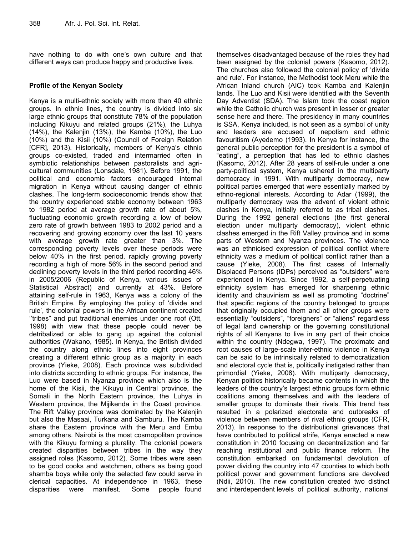have nothing to do with one's own culture and that different ways can produce happy and productive lives.

# **Profile of the Kenyan Society**

Kenya is a multi-ethnic society with more than 40 ethnic groups. In ethnic lines, the country is divided into six large ethnic groups that constitute 78% of the population including Kikuyu and related groups (21%), the Luhya (14%), the Kalenjin (13%), the Kamba (10%), the Luo (10%) and the Kisii (10%) (Council of Foreign Relation [CFR], 2013). Historically, members of Kenya's ethnic groups co-existed, traded and intermarried often in symbiotic relationships between pastoralists and agricultural communities (Lonsdale, 1981). Before 1991, the political and economic factors encouraged internal migration in Kenya without causing danger of ethnic clashes. The long-term socioeconomic trends show that the country experienced stable economy between 1963 to 1982 period at average growth rate of about 5%, fluctuating economic growth recording a low of below zero rate of growth between 1983 to 2002 period and a recovering and growing economy over the last 10 years with average growth rate greater than 3%. The corresponding poverty levels over these periods were below 40% in the first period, rapidly growing poverty recording a high of more 56% in the second period and declining poverty levels in the third period recording 46% in 2005/2006 (Republic of Kenya, various issues of Statistical Abstract) and currently at 43%. Before attaining self-rule in 1963, Kenya was a colony of the British Empire. By employing the policy of 'divide and rule', the colonial powers in the African continent created ''tribes" and put traditional enemies under one roof (Ott, 1998) with view that these people could never be detribalized or able to gang up against the colonial authorities (Wakano, 1985). In Kenya, the British divided the country along ethnic lines into eight provinces creating a different ethnic group as a majority in each province (Yieke, 2008). Each province was subdivided into districts according to ethnic groups. For instance, the Luo were based in Nyanza province which also is the home of the Kisii, the Kikuyu in Central province, the Somali in the North Eastern province, the Luhya in Western province, the Mijikenda in the Coast province. The Rift Valley province was dominated by the Kalenjin but also the Masaai, Turkana and Samburu. The Kamba share the Eastern province with the Meru and Embu among others. Nairobi is the most cosmopolitan province with the Kikuyu forming a plurality. The colonial powers created disparities between tribes in the way they assigned roles (Kasomo, 2012). Some tribes were seen to be good cooks and watchmen, others as being good shamba boys while only the selected few could serve in clerical capacities. At independence in 1963, these disparities were manifest. Some people found

themselves disadvantaged because of the roles they had been assigned by the colonial powers (Kasomo, 2012). The churches also followed the colonial policy of 'divide and rule'. For instance, the Methodist took Meru while the African Inland church (AIC) took Kamba and Kalenjin lands. The Luo and Kisii were identified with the Seventh Day Adventist (SDA). The Islam took the coast region while the Catholic church was present in lesser or greater sense here and there. The presidency in many countries is SSA, Kenya included, is not seen as a symbol of unity and leaders are accused of nepotism and ethnic favouritism (Ayedemo (1993). In Kenya for instance, the general public perception for the president is a symbol of "eating", a perception that has led to ethnic clashes (Kasomo, 2012). After 28 years of self-rule under a one party-political system, Kenya ushered in the multiparty democracy in 1991. With multiparty democracy, new political parties emerged that were essentially marked by ethno-regional interests. According to Adar (1999), the multiparty democracy was the advent of violent ethnic clashes in Kenya, initially referred to as tribal clashes. During the 1992 general elections (the first general election under multiparty democracy), violent ethnic clashes emerged in the Rift Valley province and in some parts of Western and Nyanza provinces. The violence was an ethnicised expression of political conflict where ethnicity was a medium of political conflict rather than a cause (Yieke, 2008). The first cases of Internally Displaced Persons (IDPs) perceived as "outsiders" were experienced in Kenya. Since 1992, a self-perpetuating ethnicity system has emerged for sharpening ethnic identity and chauvinism as well as promoting "doctrine" that specific regions of the country belonged to groups that originally occupied them and all other groups were essentially "outsiders", "foreigners" or "aliens" regardless of legal land ownership or the governing constitutional rights of all Kenyans to live in any part of their choice within the country (Ndegwa, 1997). The proximate and root causes of large-scale inter-ethnic violence in Kenya can be said to be intrinsically related to democratization and electoral cycle that is, politically instigated rather than primordial (Yieke, 2008). With multiparty democracy, Kenyan politics historically became contents in which the leaders of the country's largest ethnic groups form ethnic coalitions among themselves and with the leaders of smaller groups to dominate their rivals. This trend has resulted in a polarized electorate and outbreaks of violence between members of rival ethnic groups (CFR, 2013). In response to the distributional grievances that have contributed to political strife, Kenya enacted a new constitution in 2010 focusing on decentralization and far reaching institutional and public finance reform. The constitution embarked on fundamental devolution of power dividing the country into 47 counties to which both political power and government functions are devolved (Ndii, 2010). The new constitution created two distinct and interdependent levels of political authority, national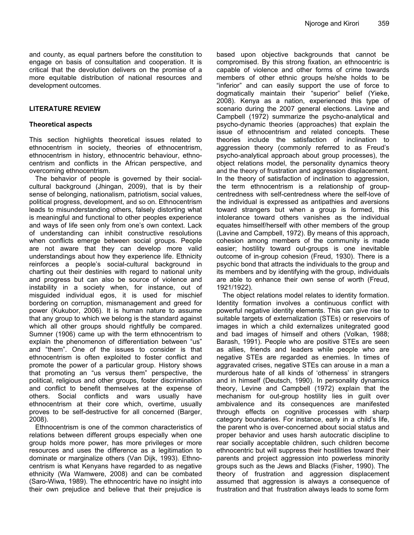and county, as equal partners before the constitution to engage on basis of consultation and cooperation. It is critical that the devolution delivers on the promise of a more equitable distribution of national resources and development outcomes.

# **LITERATURE REVIEW**

# **Theoretical aspects**

This section highlights theoretical issues related to ethnocentrism in society, theories of ethnocentrism, ethnocentrism in history, ethnocentric behaviour, ethnocentrism and conflicts in the African perspective, and overcoming ethnocentrism.

The behavior of people is governed by their socialcultural background (Jhingan, 2009), that is by their sense of belonging, nationalism, patriotism, social values, political progress, development, and so on. Ethnocentrism leads to misunderstanding others, falsely distorting what is meaningful and functional to other peoples experience and ways of life seen only from one's own context. Lack of understanding can inhibit constructive resolutions when conflicts emerge between social groups. People are not aware that they can develop more valid understandings about how they experience life. Ethnicity reinforces a people's social-cultural background in charting out their destinies with regard to national unity and progress but can also be source of violence and instability in a society when, for instance, out of misguided individual egos, it is used for mischief bordering on corruption, mismanagement and greed for power (Kukubor, 2006). It is human nature to assume that any group to which we belong is the standard against which all other groups should rightfully be compared. Sumner (1906) came up with the term ethnocentrism to explain the phenomenon of differentiation between "us" and "them". One of the issues to consider is that ethnocentrism is often exploited to foster conflict and promote the power of a particular group. History shows that promoting an "us versus them" perspective, the political, religious and other groups, foster discrimination and conflict to benefit themselves at the expense of others. Social conflicts and wars usually have ethnocentrism at their core which, overtime, usually proves to be self-destructive for all concerned (Barger, 2008).

Ethnocentrism is one of the common characteristics of relations between different groups especially when one group holds more power, has more privileges or more resources and uses the difference as a legitimation to dominate or marginalize others (Van Dijk, 1993). Ethnocentrism is what Kenyans have regarded to as negative ethnicity (Wa Wamwere, 2008) and can be combated (Saro-Wiwa, 1989). The ethnocentric have no insight into their own prejudice and believe that their prejudice is

based upon objective backgrounds that cannot be compromised. By this strong fixation, an ethnocentric is capable of violence and other forms of crime towards members of other ethnic groups he/she holds to be "inferior" and can easily support the use of force to dogmatically maintain their "superior" belief (Yieke, 2008). Kenya as a nation, experienced this type of scenario during the 2007 general elections. Lavine and Campbell (1972) summarize the psycho-analytical and psycho-dynamic theories (approaches) that explain the issue of ethnocentrism and related concepts. These theories include the satisfaction of inclination to aggression theory (commonly referred to as Freud's psycho-analytical approach about group processes), the object relations model, the personality dynamics theory and the theory of frustration and aggression displacement. In the theory of satisfaction of inclination to aggression, the term ethnocentrism is a relationship of groupcentredness with self-centredness where the self-love of the individual is expressed as antipathies and aversions toward strangers but when a group is formed, this intolerance toward others vanishes as the individual equates himself/herself with other members of the group (Lavine and Campbell, 1972). By means of this approach, cohesion among members of the community is made easier; hostility toward out-groups is one inevitable outcome of in-group cohesion (Freud, 1930). There is a psychic bond that attracts the individuals to the group and its members and by identifying with the group, individuals are able to enhance their own sense of worth (Freud, 1921/1922).

The object relations model relates to identity formation. Identity formation involves a continuous conflict with powerful negative identity elements. This can give rise to suitable targets of externalization (STEs) or reservoirs of images in which a child externalizes unitegrated good and bad images of himself and others (Volkan, 1988; Barash, 1991). People who are positive STEs are seen as allies, friends and leaders while people who are negative STEs are regarded as enemies. In times of aggravated crises, negative STEs can arouse in a man a murderous hate of all kinds of 'otherness' in strangers and in himself (Deutsch, 1990). In personality dynamics theory, Levine and Campbell (1972) explain that the mechanism for out-group hostility lies in guilt over ambivalence and its consequences are manifested through effects on cognitive processes with sharp category boundaries. For instance, early in a child's life, the parent who is over-concerned about social status and proper behavior and uses harsh autocratic discipline to rear socially acceptable children, such children become ethnocentric but will suppress their hostilities toward their parents and project aggression into powerless minority groups such as the Jews and Blacks (Fisher, 1990). The theory of frustration and aggression displacement assumed that aggression is always a consequence of frustration and that frustration always leads to some form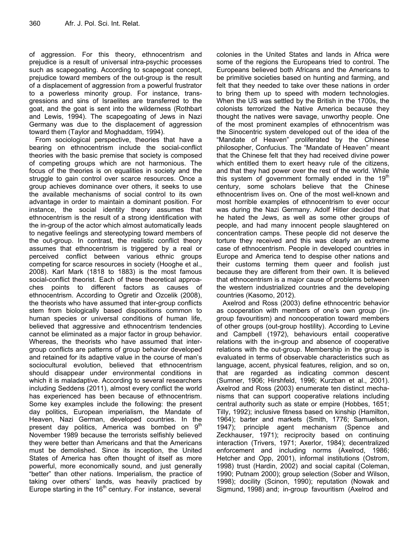of aggression. For this theory, ethnocentrism and prejudice is a result of universal intra-psychic processes such as scapegoating. According to scapegoat concept, prejudice toward members of the out-group is the result of a displacement of aggression from a powerful frustrator to a powerless minority group. For instance, transgressions and sins of Israelites are transferred to the goat, and the goat is sent into the wilderness (Rothbart and Lewis, 1994). The scapegoating of Jews in Nazi Germany was due to the displacement of aggression toward them (Taylor and Moghaddam, 1994).

From sociological perspective, theories that have a bearing on ethnocentrism include the social-conflict theories with the basic premise that society is composed of competing groups which are not harmonious. The focus of the theories is on equalities in society and the struggle to gain control over scarce resources. Once a group achieves dominance over others, it seeks to use the available mechanisms of social control to its own advantage in order to maintain a dominant position. For instance, the social identity theory assumes that ethnocentrism is the result of a strong identification with the in-group of the actor which almost automatically leads to negative feelings and stereotyping toward members of the out-group. In contrast, the realistic conflict theory assumes that ethnocentrism is triggered by a real or perceived conflict between various ethnic groups competing for scarce resources in society (Hooghe et al., 2008). Karl Mark (1818 to 1883) is the most famous social-conflict theorist. Each of these theoretical approaches points to different factors as causes of ethnocentrism. According to Ogretir and Ozcelik (2008), the theorists who have assumed that inter-group conflicts stem from biologically based dispositions common to human species or universal conditions of human life, believed that aggressive and ethnocentrism tendencies cannot be eliminated as a major factor in group behavior. Whereas, the theorists who have assumed that intergroup conflicts are patterns of group behavior developed and retained for its adaptive value in the course of man's sociocultural evolution, believed that ethnocentrism should disappear under environmental conditions in which it is maladaptive. According to several researchers including Seddens (2011), almost every conflict the world has experienced has been because of ethnocentrism. Some key examples include the following: the present day politics, European imperialism, the Mandate of Heaven, Nazi German, developed countries. In the present day politics, America was bombed on  $9<sup>th</sup>$ November 1989 because the terrorists selfishly believed they were better than Americans and that the Americans must be demolished. Since its inception, the United States of America has often thought of itself as more powerful, more economically sound, and just generally "better" than other nations. Imperialism, the practice of taking over others' lands, was heavily practiced by Europe starting in the  $16<sup>th</sup>$  century. For instance, several

colonies in the United States and lands in Africa were some of the regions the Europeans tried to control. The Europeans believed both Africans and the Americans to be primitive societies based on hunting and farming, and felt that they needed to take over these nations in order to bring them up to speed with modern technologies. When the US was settled by the British in the 1700s, the colonists terrorized the Native America because they thought the natives were savage, unworthy people. One of the most prominent examples of ethnocentrism was the Sinocentric system developed out of the idea of the "Mandate of Heaven" proliferated by the Chinese philosopher, Confucius. The "Mandate of Heaven" meant that the Chinese felt that they had received divine power which entitled them to exert heavy rule of the citizens, and that they had power over the rest of the world. While this system of government formally ended in the  $19<sup>m</sup>$ century, some scholars believe that the Chinese ethnocentrism lives on. One of the most well-known and most horrible examples of ethnocentrism to ever occur was during the Nazi Germany. Adolf Hitler decided that he hated the Jews, as well as some other groups of people, and had many innocent people slaughtered on concentration camps. These people did not deserve the torture they received and this was clearly an extreme case of ethnocentrism. People in developed countries in Europe and America tend to despise other nations and their customs terming them queer and foolish just because they are different from their own. It is believed that ethnocentrism is a major cause of problems between the western industrialized countries and the developing countries (Kasomo, 2012).

Axelrod and Ross (2003) define ethnocentric behavior as cooperation with members of one's own group (ingroup favouritism) and noncooperation toward members of other groups (out-group hostility). According to Levine and Campbell (1972), behaviours entail cooperative relations with the in-group and absence of cooperative relations with the out-group. Membership in the group is evaluated in terms of observable characteristics such as language, accent, physical features, religion, and so on, that are regarded as indicating common descent (Sumner, 1906; Hirshfeld, 1996; Kurzban et al., 2001). Axelrod and Ross (2003) enumerate ten distinct mechanisms that can support cooperative relations including central authority such as state or empire (Hobbes, 1651; Tilly, 1992); inclusive fitness based on kinship (Hamilton, 1964); barter and markets (Smith, 1776; Samuelson, 1947); principle agent mechanism (Spence and Zeckhauser, 1971); reciprocity based on continuing interaction (Trivers, 1971; Axerlor, 1984); decentralized enforcement and including norms (Axelrod, 1986; Hetcher and Opp, 2001), informal institutions (Ostrom, 1998) trust (Hardin, 2002) and social capital (Coleman, 1990; Putnam 2000); group selection (Sober and Wilson, 1998); docility (Scinon, 1990); reputation (Nowak and Sigmund, 1998) and; in-group favouritism (Axelrod and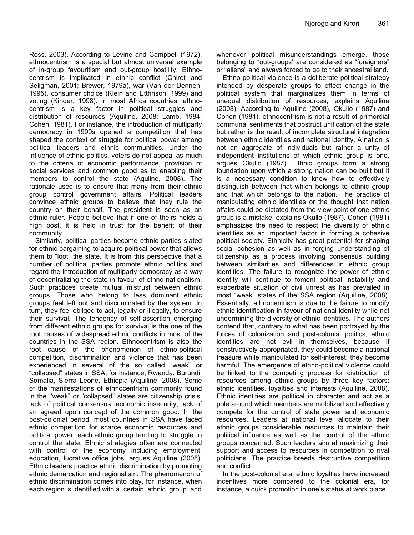Ross, 2003). According to Levine and Campbell (1972), ethnocentrism is a special but almost universal example of in-group favouritism and out-group hostility. Ethnocentrism is implicated in ethnic conflict (Chirot and Seligman, 2001; Brewer, 1979a), war (Van der Dennen, 1995), consumer choice (Klein and Etthnson, 1999) and voting (Kinder, 1998). In most Africa countries, ethnocentrism is a key factor in political struggles and distribution of resources (Aquiline, 2008; Lamb, 1984; Cohen, 1981). For instance, the introduction of multiparty democracy in 1990s opened a competition that has shaped the context of struggle for political power among political leaders and ethnic communities. Under the influence of ethnic politics, voters do not appeal as much to the criteria of economic performance, provision of social services and common good as to enabling their members to control the state (Aquline, 2008). The rationale used is to ensure that many from their ethnic group control government affairs. Political leaders convince ethnic groups to believe that they rule the country on their behalf. The president is seen as an ethnic ruler. People believe that if one of theirs holds a high post, it is held in trust for the benefit of their community.

Similarly, political parties become ethnic parties slated for ethnic bargaining to acquire political power that allows them to "loot" the state. It is from this perspective that a number of political parties promote ethnic politics and regard the introduction of multiparty democracy as a way of decentralizing the state in favour of ethno-nationalism. Such practices create mutual mistrust between ethnic groups. Those who belong to less dominant ethnic groups feel left out and discriminated by the system. In turn, they feel obliged to act, legally or illegally, to ensure their survival. The tendency of self-assertion emerging from different ethnic groups for survival is the one of the root causes of widespread ethnic conflicts in most of the countries in the SSA region. Ethnocentrism is also the root cause of the phenomenon of ethno-political competition, discrimination and violence that has been experienced in several of the so called "weak" or "collapsed" states in SSA, for instance, Rwanda, Burundi, Somalia, Sierra Leone, Ethiopia (Aquiline, 2008). Some of the manifestations of ethnocentrism commonly found in the ''weak" or "collapsed" states are citizenship crisis, lack of political consensus, economic insecurity, lack of an agreed upon concept of the common good. In the post-colonial period, most countries in SSA have faced ethnic competition for scarce economic resources and political power, each ethnic group tending to struggle to control the state. Ethnic strategies often are connected with control of the economy including employment, education, lucrative office jobs, argues Aquiline (2008). Ethnic leaders practice ethnic discrimination by promoting ethnic demarcation and regionalism. The phenomenon of ethnic discrimination comes into play, for instance, when each region is identified with a certain ethnic group and whenever political misunderstandings emerge, those belonging to "out-groups' are considered as "foreigners" or "aliens" and always forced to go to their ancestral land.

Ethno-political violence is a deliberate political strategy intended by desperate groups to effect change in the political system that marginalizes them in terms of unequal distribution of resources, explains Aquiline (2008). According to Aquiline (2008), Okullo (1987) and Cohen (1981), ethnocentrism is not a result of primordial communal sentiments that obstruct unification of the state but rather is the result of incomplete structural integration between ethnic identities and national identity. A nation is not an aggregate of individuals but rather a unity of independent institutions of which ethnic group is one, argues Okullo (1987). Ethnic groups form a strong foundation upon which a strong nation can be built but it is a necessary condition to know how to effectively distinguish between that which belongs to ethnic group and that which belongs to the nation. The practice of manipulating ethnic identities or the thought that nation affairs could be dictated from the view point of one ethnic group is a mistake, explains Okullo (1987). Cohen (1981) emphasizes the need to respect the diversity of ethnic identities as an important factor in forming a cohesive political society. Ethnicity has great potential for shaping social cohesion as well as in forging understanding of citizenship as a process involving consensus building between similarities and differences in ethnic group identities. The failure to recognize the power of ethnic identity will continue to foment political instability and exacerbate situation of civil unrest as has prevailed in most "weak" states of the SSA region (Aquiline, 2008). Essentially, ethnocentrism is due to the failure to modify ethnic identification in favour of national identity while not undermining the diversity of ethnic identities. The authors contend that, contrary to what has been portrayed by the forces of colonization and post-colonial politics, ethnic identities are not evil in themselves, because if constructively appropriated, they could become a national treasure while manipulated for self-interest, they become harmful. The emergence of ethno-political violence could be linked to the competing process for distribution of resources among ethnic groups by three key factors: ethnic identities, loyalties and interests (Aquiline, 2008). Ethnic identities are political in character and act as a pole around which members are mobilized and effectively compete for the control of state power and economic resources. Leaders at national level allocate to their ethnic groups considerable resources to maintain their political influence as well as the control of the ethnic groups concerned. Such leaders aim at maximizing their support and access to resources in competition to rival politicians. The practice breeds destructive competition and conflict.

In the post-colonial era, ethnic loyalties have increased incentives more compared to the colonial era, for instance, a quick promotion in one's status at work place.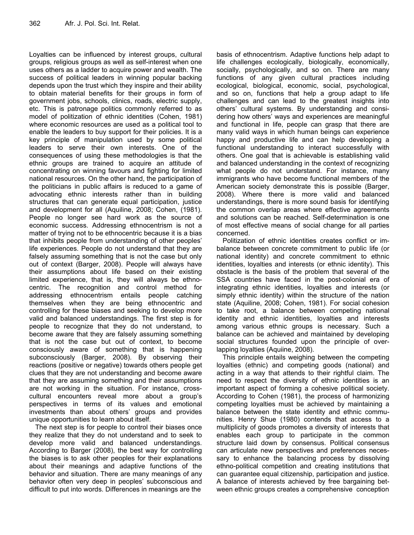Loyalties can be influenced by interest groups, cultural groups, religious groups as well as self-interest when one uses others as a ladder to acquire power and wealth. The success of political leaders in winning popular backing depends upon the trust which they inspire and their ability to obtain material benefits for their groups in form of government jobs, schools, clinics, roads, electric supply, etc. This is patronage politics commonly referred to as model of politization of ethnic identities (Cohen, 1981) where economic resources are used as a political tool to enable the leaders to buy support for their policies. It is a key principle of manipulation used by some political leaders to serve their own interests. One of the consequences of using these methodologies is that the ethnic groups are trained to acquire an attitude of concentrating on winning favours and fighting for limited national resources. On the other hand, the participation of the politicians in public affairs is reduced to a game of advocating ethnic interests rather than in building structures that can generate equal participation, justice and development for all (Aquiline, 2008; Cohen, (1981). People no longer see hard work as the source of economic success. Addressing ethnocentrism is not a matter of trying not to be ethnocentric because it is a bias that inhibits people from understanding of other peoples' life experiences. People do not understand that they are falsely assuming something that is not the case but only out of context (Barger, 2008). People will always have their assumptions about life based on their existing limited experience, that is, they will always be ethnocentric. The recognition and control method for addressing ethnocentrism entails people catching themselves when they are being ethnocentric and controlling for these biases and seeking to develop more valid and balanced understandings. The first step is for people to recognize that they do not understand, to become aware that they are falsely assuming something that is not the case but out of context, to become consciously aware of something that is happening subconsciously (Barger, 2008). By observing their reactions (positive or negative) towards others people get clues that they are not understanding and become aware that they are assuming something and their assumptions are not working in the situation. For instance, crosscultural encounters reveal more about a group's perspectives in terms of its values and emotional investments than about others' groups and provides unique opportunities to learn about itself.

The next step is for people to control their biases once they realize that they do not understand and to seek to develop more valid and balanced understandings. According to Barger (2008), the best way for controlling the biases is to ask other peoples for their explanations about their meanings and adaptive functions of the behavior and situation. There are many meanings of any behavior often very deep in peoples' subconscious and difficult to put into words. Differences in meanings are the

basis of ethnocentrism. Adaptive functions help adapt to life challenges ecologically, biologically, economically, socially, psychologically, and so on. There are many functions of any given cultural practices including ecological, biological, economic, social, psychological, and so on, functions that help a group adapt to life challenges and can lead to the greatest insights into others' cultural systems. By understanding and considering how others' ways and experiences are meaningful and functional in life, people can grasp that there are many valid ways in which human beings can experience happy and productive life and can help developing a functional understanding to interact successfully with others. One goal that is achievable is establishing valid and balanced understanding in the context of recognizing what people do not understand. For instance, many immigrants who have become functional members of the American society demonstrate this is possible (Barger, 2008). Where there is more valid and balanced understandings, there is more sound basis for identifying the common overlap areas where effective agreements and solutions can be reached. Self-determination is one of most effective means of social change for all parties concerned.

Politization of ethnic identities creates conflict or imbalance between concrete commitment to public life (or national identity) and concrete commitment to ethnic identities, loyalties and interests (or ethnic identity). This obstacle is the basis of the problem that several of the SSA countries have faced in the post-colonial era of integrating ethnic identities, loyalties and interests (or simply ethnic identity) within the structure of the nation state (Aquiline, 2008; Cohen, 1981). For social cohesion to take root, a balance between competing national identity and ethnic identities, loyalties and interests among various ethnic groups is necessary. Such a balance can be achieved and maintained by developing social structures founded upon the principle of overlapping loyalties (Aquiine, 2008).

This principle entails weighing between the competing loyalties (ethnic) and competing goods (national) and acting in a way that attends to their rightful claim. The need to respect the diversity of ethnic identities is an important aspect of forming a cohesive political society. According to Cohen (1981), the process of harmonizing competing loyalties must be achieved by maintaining a balance between the state identity and ethnic communities. Henry Shue (1980) contends that access to a multiplicity of goods promotes a diversity of interests that enables each group to participate in the common structure laid down by consensus. Political consensus can articulate new perspectives and preferences necessary to enhance the balancing process by dissolving ethno-political competition and creating institutions that can guarantee equal citizenship, participation and justice. A balance of interests achieved by free bargaining between ethnic groups creates a comprehensive conception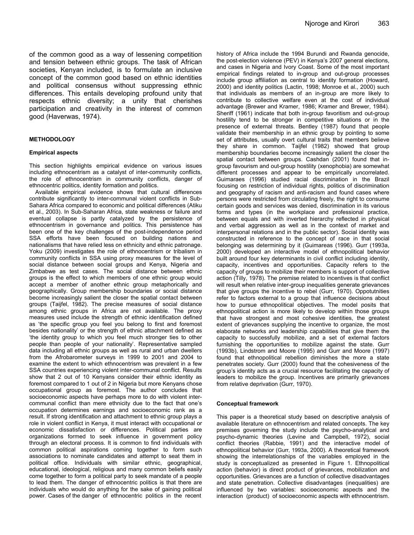of the common good as a way of lessening competition and tension between ethnic groups. The task of African societies, Kenyan included, is to formulate an inclusive concept of the common good based on ethnic identities and political consensus without suppressing ethnic differences. This entails developing profound unity that respects ethnic diversity; a unity that cherishes participation and creativity in the interest of common good (Haverwas, 1974).

#### **METHODOLOGY**

#### **Empirical aspects**

This section highlights empirical evidence on various issues including ethnocentrism as a catalyst of inter-community conflicts, the role of ethnocentrism in community conflicts, danger of ethnocentric politics, identity formation and politics.

Available empirical evidence shows that cultural differences contribute significantly to inter-communal violent conflicts in Sub-Sahara Africa compared to economic and political differences (Atiku et al., 2003). In Sub-Saharan Africa, state weakness or failure and eventual collapse is partly catalyzed by the persistence of ethnocentrism in governance and politics. This persistence has been one of the key challenges of the post-independence period SSA efforts have been focused on building nations and nationalisms that have relied less on ethnicity and ethnic patronage. Yoku (2009) investigates the role of ethnocentrism or tribalism in community conflicts in SSA using proxy measures for the level of social distance between social groups and Kenya, Nigeria and Zimbabwe as test cases. The social distance between ethnic groups is the effect to which members of one ethnic group would accept a member of another ethnic group metaphorically and geographically. Group membership boundaries or social distance become increasingly salient the closer the spatial contact between groups (Taijfel, 1982). The precise measures of social distance among ethnic groups in Africa are not available. The proxy measures used include the strength of ethnic identification defined as 'the specific group you feel you belong to first and foremost besides nationality' or the strength of ethnic attachment defined as 'the identity group to which you feel much stronger ties to other people than people of your nationality'. Representative sampled data including all ethnic groups as well as rural and urban dwellers from the Afrobarometer surveys in 1999 to 2001 and 2004 to examine the extent to which ethnocentrism was prevalent in a few SSA countries experiencing violent inter-communal conflict. Results show that 2 out of 10 Kenyans consider their ethnic identity as foremost compared to 1 out of 2 in Nigeria but more Kenyans chose occupational group as foremost. The author concludes that socioeconomic aspects have perhaps more to do with violent intercommunal conflict than mere ethnicity due to the fact that one's occupation determines earnings and socioeconomic rank as a result. If strong identification and attachment to ethnic group plays a role in violent conflict in Kenya, it must interact with occupational or economic dissatisfaction or differences. Political parties are organizations formed to seek influence in government policy through an electoral process. It is common to find individuals with common political aspirations coming together to form such associations to nominate candidates and attempt to seat them in political office. Individuals with similar ethnic, geographical, educational, ideological, religious and many common beliefs easily come together to form a political party to seek mandate of a people to lead them. The danger of ethnocentric politics is that there are individuals who would do anything for the sake of gaining political power. Cases of the danger of ethnocentric politics in the recent

history of Africa include the 1994 Burundi and Rwanda genocide, the post-election violence (PEV) in Kenya's 2007 general elections, and cases in Nigeria and Ivory Coast. Some of the most important empirical findings related to in-group and out-group processes include group affiliation as central to identity formation (Howard, 2000) and identity politics (Lactin, 1998; Monroe et al., 2000) such that individuals as members of an in-group are more likely to contribute to collective welfare even at the cost of individual advantage (Brewer and Kramer, 1986; Kramer and Brewer, 1984). Sheriff (1961) indicate that both in-group favoritism and out-group hostility tend to be stronger in competitive situations or in the presence of external threats. Bentley (1987) found that people validate their membership in an ethnic group by pointing to some set of attributes, usually overt cultural traits that members believe they share in common. Taijfel (1982) showed that group membership boundaries become increasingly salient the closer the spatial contact between groups. Cashdan (2001) found that ingroup favourism and out-group hostility (xenophobia) are somewhat different processes and appear to be empirically uncorrelated. Guimaraes (1996) studied racial discrimination in the Brazil focusing on restriction of individual rights, politics of discrimination and geography of racism and anti-racism and found cases where persons were restricted from circulating freely, the right to consume certain goods and services was denied, discrimination in its various forms and types (in the workplace and professional practice, between equals and with inverted hierarchy reflected in physical and verbal aggression as well as in the context of market and interpersonal relations and in the public sector). Social identity was constructed in reference to the concept of race in that social belonging was determining by it (Guimareas (1996). Gurr (1993a, 2000) developed an interactive model of ethnopolitical behavior built around four key determinants in civil conflict including identity, capacity, incentives and opportunities. Capacity refers to the capacity of groups to mobilize their members is support of collective action (Tilly, 1978). The premise related to incentives is that conflict will result when relative inter-group inequalities generate grievances that give groups the incentive to rebel (Gurr, 1970). Oppotutnities refer to factors external to a group that influence decisions about how to pursue ethnopolitical objectives. The model posits that ethnopolitical action is more likely to develop within those groups that have strongest and most cohesive identities, the greatest extent of grievances supplying the incentive to organize, the most elaborate networks and leadership capabilities that give them the capacity to successfully mobilize, and a set of external factors furnishing the opportunities to mobilize against the state. Gurr (1993b), Lindstrom and Moore (1995) and Gurr and Moore (1997) found that ethnopolitical rebellion diminishes the more a state penetrates society. Gurr (2000) found that the cohesiveness of the group's identity acts as a crucial resource facilitating the capacity of leaders to mobilize the group. Incentives are primarily grievances from relative deprivation (Gurr, 1970).

#### **Conceptual framework**

This paper is a theoretical study based on descriptive analysis of available literature on ethnocentrism and related concepts. The key premises governing the study include the psycho-analytical and psycho-dynamic theories (Levine and Campbell, 1972), social conflict theories (Rabbie, 1991) and the interactive model of ethnopolitical behavior (Gurr, 1993a, 2000). A theoretical framework showing the interrelationships of the variables employed in the study is conceptualized as presented in Figure 1. Ethnopolitical action (behavior) is direct product of grievances, mobilization and opportunities. Grievances are a function of collective disadvantages and state penetration. Collective disadvantages (inequalities) are influenced by two variables: socioeconomic aspects and the interaction (product) of socioeconomic aspects with ethnocentrism.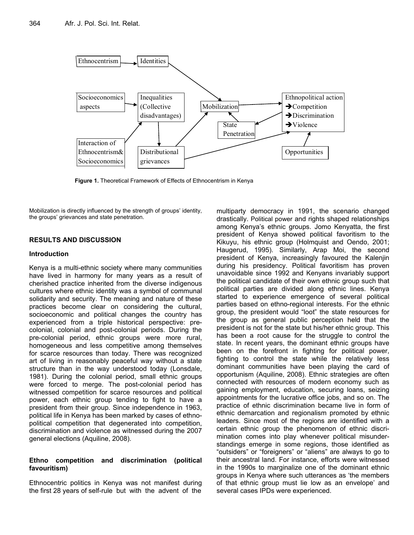

**Figure 1.** Theoretical Framework of Effects of Ethnocentrism in Kenya

Mobilization is directly influenced by the strength of groups' identity, the groups' grievances and state penetration.

# **RESULTS AND DISCUSSION**

#### **Introduction**

Kenya is a multi-ethnic society where many communities have lived in harmony for many years as a result of cherished practice inherited from the diverse indigenous cultures where ethnic identity was a symbol of communal solidarity and security. The meaning and nature of these practices become clear on considering the cultural, socioeconomic and political changes the country has experienced from a triple historical perspective: precolonial, colonial and post-colonial periods. During the pre-colonial period, ethnic groups were more rural, homogeneous and less competitive among themselves for scarce resources than today. There was recognized art of living in reasonably peaceful way without a state structure than in the way understood today (Lonsdale, 1981). During the colonial period, small ethnic groups were forced to merge. The post-colonial period has witnessed competition for scarce resources and political power, each ethnic group tending to fight to have a president from their group. Since independence in 1963, political life in Kenya has been marked by cases of ethnopolitical competition that degenerated into competition, discrimination and violence as witnessed during the 2007 general elections (Aquiline, 2008).

# **Ethno competition and discrimination (political favouritism)**

Ethnocentric politics in Kenya was not manifest during the first 28 years of self-rule but with the advent of the multiparty democracy in 1991, the scenario changed drastically. Political power and rights shaped relationships among Kenya's ethnic groups. Jomo Kenyatta, the first president of Kenya showed political favoritism to the Kikuyu, his ethnic group (Holmquist and Oendo, 2001; Haugerud, 1995). Similarly, Arap Moi, the second president of Kenya, increasingly favoured the Kalenjin during his presidency. Political favoritism has proven unavoidable since 1992 and Kenyans invariably support the political candidate of their own ethnic group such that political parties are divided along ethnic lines. Kenya started to experience emergence of several political parties based on ethno-regional interests. For the ethnic group, the president would "loot" the state resources for the group as general public perception held that the president is not for the state but his/her ethnic group. This has been a root cause for the struggle to control the state. In recent years, the dominant ethnic groups have been on the forefront in fighting for political power, fighting to control the state while the relatively less dominant communities have been playing the card of opportunism (Aquiline, 2008). Ethnic strategies are often connected with resources of modern economy such as gaining employment, education, securing loans, seizing appointments for the lucrative office jobs, and so on. The practice of ethnic discrimination became live in form of ethnic demarcation and regionalism promoted by ethnic leaders. Since most of the regions are identified with a certain ethnic group the phenomenon of ethnic discrimination comes into play whenever political misunderstandings emerge in some regions, those identified as "outsiders" or "foreigners" or "aliens" are always to go to their ancestral land. For instance, efforts were witnessed in the 1990s to marginalize one of the dominant ethnic groups in Kenya where such utterances as 'the members of that ethnic group must lie low as an envelope' and several cases IPDs were experienced.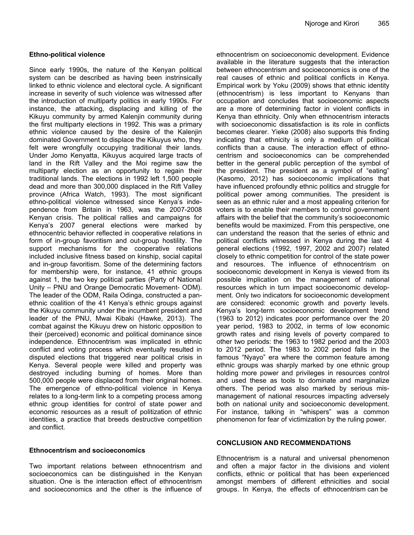### **Ethno-political violence**

Since early 1990s, the nature of the Kenyan political system can be described as having been instrinsically linked to ethnic violence and electoral cycle. A significant increase in severity of such violence was witnessed after the introduction of multiparty politics in early 1990s. For instance, the attacking, displacing and killing of the Kikuyu community by armed Kalenjin community during the first multiparty elections in 1992. This was a primary ethnic violence caused by the desire of the Kalenjin dominated Government to displace the Kikuyus who, they felt were wrongfully occupying traditional their lands. Under Jomo Kenyatta, Kikuyus acquired large tracts of land in the Rift Valley and the Moi regime saw the multiparty election as an opportunity to regain their traditional lands. The elections in 1992 left 1,500 people dead and more than 300,000 displaced in the Rift Valley province (Africa Watch, 1993). The most significant ethno-political violence witnessed since Kenya's independence from Britain in 1963, was the 2007-2008 Kenyan crisis. The political rallies and campaigns for Kenya's 2007 general elections were marked by ethnocentric behavior reflected in cooperative relations in form of in-group favoritism and out-group hostility. The support mechanisms for the cooperative relations included inclusive fitness based on kinship, social capital and in-group favoritism. Some of the determining factors for membership were, for instance, 41 ethnic groups against 1, the two key political parties (Party of National Unity – PNU and Orange Democratic Movement- ODM). The leader of the ODM, Raila Odinga, constructed a panethnic coalition of the 41 Kenya's ethnic groups against the Kikuyu community under the incumbent president and leader of the PNU, Mwai Kibaki (Hawke, 2013). The combat against the Kikuyu drew on historic opposition to their (perceived) economic and political dominance since independence. Ethnocentrism was implicated in ethnic conflict and voting process which eventually resulted in disputed elections that triggered near political crisis in Kenya. Several people were killed and property was destroyed including burning of homes. More than 500,000 people were displaced from their original homes. The emergence of ethno-political violence in Kenya relates to a long-term link to a competing process among ethnic group identities for control of state power and economic resources as a result of politization of ethnic identities, a practice that breeds destructive competition and conflict.

#### **Ethnocentrism and socioeconomics**

Two important relations between ethnocentrism and socioeconomics can be distinguished in the Kenyan situation. One is the interaction effect of ethnocentrism and socioeconomics and the other is the influence of

ethnocentrism on socioeconomic development. Evidence available in the literature suggests that the interaction between ethnocentrism and socioeconomics is one of the real causes of ethnic and political conflicts in Kenya. Empirical work by Yoku (2009) shows that ethnic identity (ethnocentrism) is less important to Kenyans than occupation and concludes that socioeconomic aspects are a more of determining factor in violent conflicts in Kenya than ethnicity. Only when ethnocentrism interacts with socioeconomic dissatisfaction is its role in conflicts becomes clearer. Yieke (2008) also supports this finding indicating that ethnicity is only a medium of political conflicts than a cause. The interaction effect of ethnocentrism and socioeconomics can be comprehended better in the general public perception of the symbol of the president. The president as a symbol of "eating" (Kasomo, 2012) has socioeconomic implications that have influenced profoundly ethnic politics and struggle for political power among communities. The president is seen as an ethnic ruler and a most appealing criterion for voters is to enable their members to control government affairs with the belief that the community's socioeconomic benefits would be maximized. From this perspective, one can understand the reason that the series of ethnic and political conflicts witnessed in Kenya during the last 4 general elections (1992, 1997, 2002 and 2007) related closely to ethnic competition for control of the state power and resources. The influence of ethnocentrism on socioeconomic development in Kenya is viewed from its possible implication on the management of national resources which in turn impact socioeconomic development. Only two indicators for socioeconomic development are considered: economic growth and poverty levels. Kenya's long-term socioeconomic development trend (1963 to 2012) indicates poor performance over the 20 year period, 1983 to 2002, in terms of low economic growth rates and rising levels of poverty compared to other two periods: the 1963 to 1982 period and the 2003 to 2012 period. The 1983 to 2002 period falls in the famous "Nyayo" era where the common feature among ethnic groups was sharply marked by one ethnic group holding more power and privileges in resources control and used these as tools to dominate and marginalize others. The period was also marked by serious mismanagement of national resources impacting adversely both on national unity and socioeconomic development. For instance, talking in "whispers" was a common phenomenon for fear of victimization by the ruling power.

# **CONCLUSION AND RECOMMENDATIONS**

Ethnocentrism is a natural and universal phenomenon and often a major factor in the divisions and violent conflicts, ethnic or political that has been experienced amongst members of different ethnicities and social groups. In Kenya, the effects of ethnocentrism can be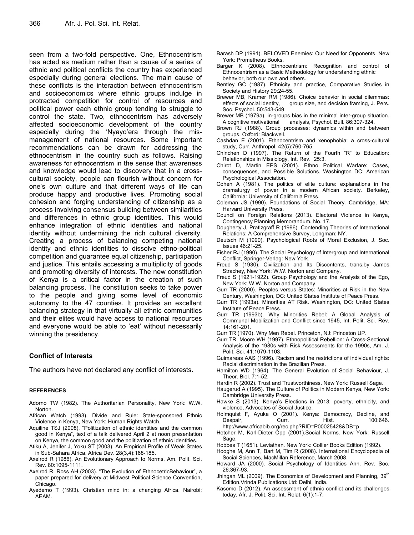seen from a two-fold perspective. One, Ethnocentrism has acted as medium rather than a cause of a series of ethnic and political conflicts the country has experienced especially during general elections. The main cause of these conflicts is the interaction between ethnocentrism and socioeconomics where ethnic groups indulge in protracted competition for control of resources and political power each ethnic group tending to struggle to control the state. Two, ethnocentrism has adversely affected socioeconomic development of the country especially during the 'Nyayo'era through the mismanagement of national resources. Some important recommendations can be drawn for addressing the ethnocentrism in the country such as follows. Raising awareness for ethnocentrism in the sense that awareness and knowledge would lead to discovery that in a crosscultural society, people can flourish without concern for one's own culture and that different ways of life can produce happy and productive lives. Promoting social cohesion and forging understanding of citizenship as a process involving consensus building between similarities and differences in ethnic group identities. This would enhance integration of ethnic identities and national identity without undermining the rich cultural diversity. Creating a process of balancing competing national identity and ethnic identities to dissolve ethno-political competition and guarantee equal citizenship, participation and justice. This entails accessing a multiplicity of goods and promoting diversity of interests. The new constitution of Kenya is a critical factor in the creation of such balancing process. The constitution seeks to take power to the people and giving some level of economic autonomy to the 47 counties. It provides an excellent balancing strategy in that virtually all ethnic communities and their elites would have access to national resources and everyone would be able to 'eat' without necessarily winning the presidency.

# **Conflict of Interests**

The authors have not declared any conflict of interests.

#### **REFERENCES**

- Adorno TW (1982). The Authoritarian Personality, New York: W.W. Norton.
- African Watch (1993). Divide and Rule: State-sponsored Ethnic Violence in Kenya, New York: Human Rights Watch.
- Aquiline TSJ (2008). "Politization of ethnic identities and the common good in Kenya", text of a talk delivered April 2 at noon presentation on Kenya, the common good and the politization of ethnic identities.
- Atiku A, Jenifer J, Yoku ST (2003). An Empirical Profile of Weak States in Sub-Sahara Africa, Africa Dev. 28(3,4):168-185.
- Axelrod R (1986). An Evolutionary Approach to Norms, Am. Polit. Sci. Rev. 80:1095-1111.
- Axelrod R, Ross AH (2003). "The Evolution of EthnocetricBehaviour", a paper prepared for delivery at Midwest Political Science Convention, Chicago.
- Ayedemo T (1993). Christian mind in: a changing Africa. Nairobi: AEAM.
- Barash DP (1991). BELOVED Enemies: Our Need for Opponents, New York: Prometheus Books.
- Barger K (2008). Ethnocentrism: Recognition and control of Ethnocentrism as a Basic Methodology for understanding ethnic behavior, both our own and others.
- Bentley GC (1987). Ethnicity and practice, Comparative Studies in Society and History 29:24-55.
- Brewer MB, Kramer RM (1986). Choice behavior in social dilemmas: effects of social identity, group size, and decision framing, J. Pers. Soc. Psychol. 50:543-549.
- Brewer MB (1979a). in-groups bias in the minimal inter-group situation. A cognitive motivational analysis, Psychol. Bull. 86:307-324.
- Brown RJ (1988). Group processes: dynamics within and between groups. Oxford: Blackwell.
- Cashdan E (2001). Ethnocentrism and xenophobia: a cross-cultural study, Curr. Anthropol. 42(5):760-765.
- Chinchen D (1997). The Return of the Fourth "R" to Education: Relationships in Missiology, Int. Rev. 25:3.
- Chirot D, Martin EPS (2001). Ethno Political Warfare: Cases, consequences, and Possible Solutions*.* Washington DC: American Psychological Association.
- Cohen A (1981). The politics of elite culture: explanations in the dramaturgy of power in a modern African society. Berkeley, California: University of California Press.
- Coleman JS (1990). Foundations of Social Theory. Cambridge, MA: Harvard University Press.
- Council on Foreign Relations (2013). Electoral Violence in Kenya, Contingency Planning Memorandum*.* No. 17.
- Dougherty J, Pratlzgraff R (1996). Contending Theories of International Relations: A Comprehensive Survey, Longman: NY.
- Deutsch M (1990). Psychological Roots of Moral Exclusion, J. Soc. Issues 46:21-25.
- Fisher RJ (1990). The Social Psychology of Intergroup and International Conflict, Springer-Verlag: New York.
- Freud S (1930). Civilization and Its Discontents, trans.by James Strachey, New York: W.W. Norton and Company.
- Freud S (1921-1922). Group Psychology and the Analysis of the Ego, New York: W.W. Norton and Company.
- Gurr TR (2000). Peoples versus States: Minorities at Risk in the New Century, Washington, DC: United States Institute of Peace Press.
- Gurr TR (1993a). Minorities AT Risk. Washington, DC: United States Institute of Peace Press.
- Gurr TR (1993b). Why Minorities Rebel: A Global Analysis of Communal Mobilization and Conflict since 1945, Int. Polit. Sci. Rev. 14:161-201.
- Gurr TR (1970). Why Men Rebel. Princeton, NJ: Princeton UP.
- Gurr TR, Moore WH (1997). Ethnopolitical Rebellion: A Cross-Sectional Analysis of the 1980s with Risk Assessments for the 1990s, Am. J. Polit. Sci. 41:1079-1103.
- Guimareas AAS (1996). Racism and the restrictions of individual rights: Racial discrimination in the Brazilian Press.
- Hamilton WD (1964). The General Evolution of Social Behaviour, J. Theor. Biol. 7:1-52.
- Hardin R (2002). Trust and Trustworthiness. New York: Russell Sage.
- Haugerud A (1995). The Culture of Politics in Modern Kenya, New York: Cambridge University Press.
- Hawke S (2013). Kenya's Elections in 2013: poverty, ethnicity, and violence, Advocates of Social Justice.
- Holmquist F, Ayuka O (2001). Kenya: Democracy, Decline, and Despair, Curr. Hist. 100:646. http://www.africabib.org/rec.php?RID=P00025428&DB=p
- Hetcher M, Karl-Dieter Opp (2001).Social Norms. New York: Russell Sage.
- Hobbes T (1651). Leviathan. New York: Collier Books Edition (1992).
- Hooghe M, Ann T, Bart M, Tim R (2008). International Encyclopedia of
- Social Sciences, MacMillan Reference, March 2008. Howard JA (2000). Social Psychology of Identities Ann. Rev. Soc. 26:367-93.
- Jhingan ML (2009). The Economics of Development and Planning, 39<sup>th</sup> Edition.Vrinda Publications Ltd: Delhi, India.
- Kasomo D (2012). An assessment of ethnic conflict and its challenges today, Afr. J. Polit. Sci. Int. Relat. 6(1):1-7.